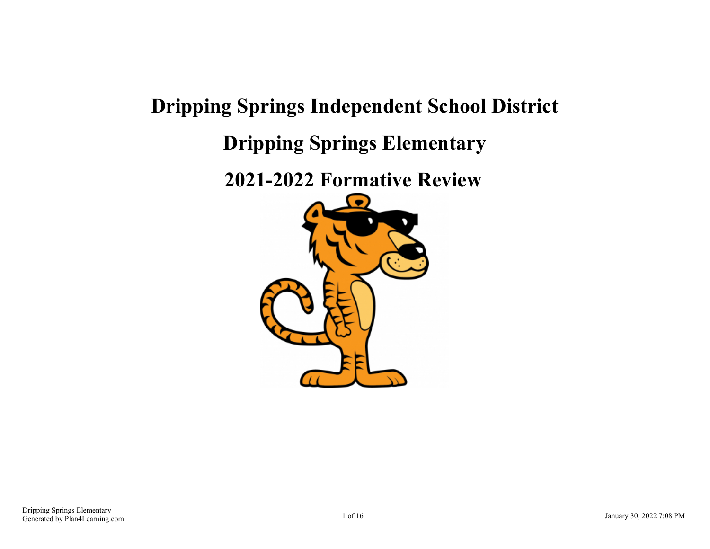# **Dripping Springs Independent School District Dripping Springs Elementary**

**2021-2022 Formative Review**

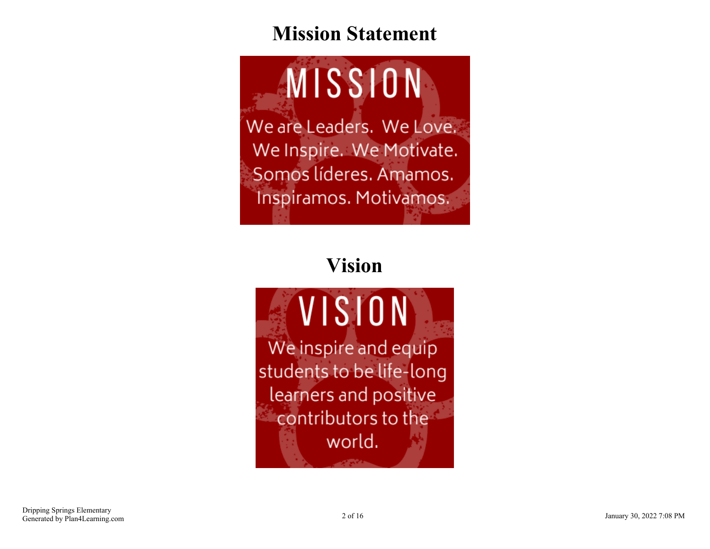### **Mission Statement**

MISSION We are Leaders. We Love. We Inspire. We Motivate. Somos líderes. Amamos. Inspiramos. Motivamos.

## **Vision**

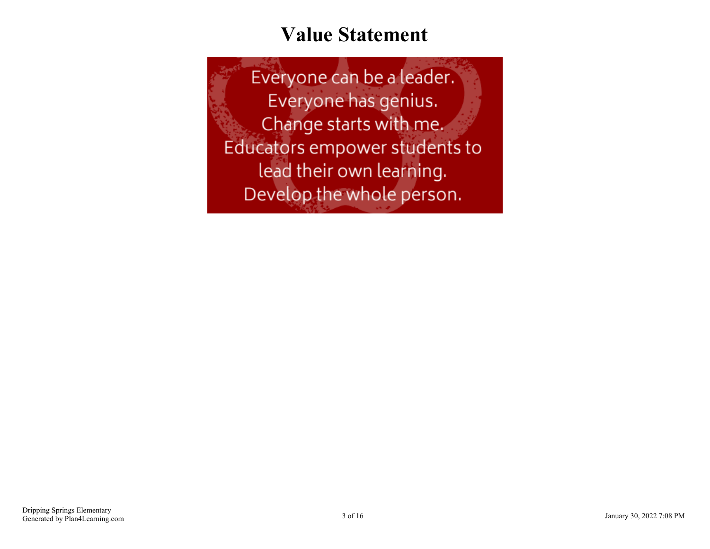#### **Value Statement**

Everyone can be a leader. Everyone has genius. Change starts with me. Educators empower students to lead their own learning. Develop the whole person.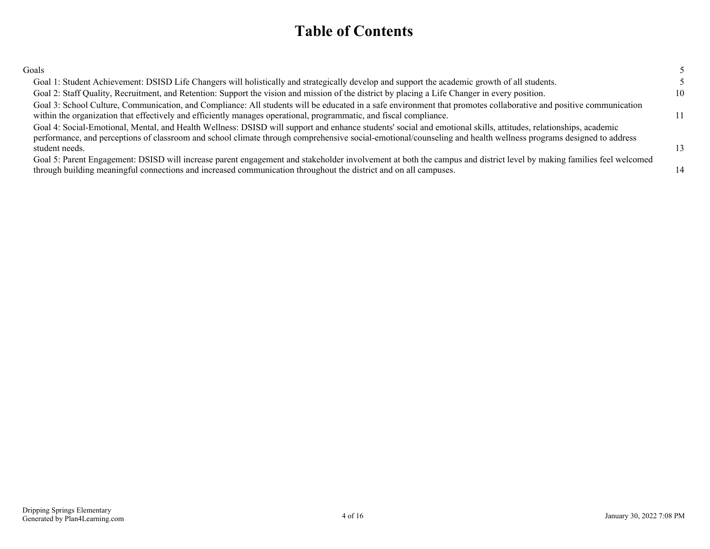#### **Table of Contents**

| Goals |  |  |
|-------|--|--|
|       |  |  |

| Goal 1: Student Achievement: DSISD Life Changers will holistically and strategically develop and support the academic growth of all students.                       |    |
|---------------------------------------------------------------------------------------------------------------------------------------------------------------------|----|
| Goal 2: Staff Quality, Recruitment, and Retention: Support the vision and mission of the district by placing a Life Changer in every position.                      | 10 |
| Goal 3: School Culture, Communication, and Compliance: All students will be educated in a safe environment that promotes collaborative and positive communication   |    |
| within the organization that effectively and efficiently manages operational, programmatic, and fiscal compliance.                                                  | 11 |
| Goal 4: Social-Emotional, Mental, and Health Wellness: DSISD will support and enhance students' social and emotional skills, attitudes, relationships, academic     |    |
| performance, and perceptions of classroom and school climate through comprehensive social-emotional/counseling and health wellness programs designed to address     |    |
| student needs.                                                                                                                                                      | 13 |
| Goal 5: Parent Engagement: DSISD will increase parent engagement and stakeholder involvement at both the campus and district level by making families feel welcomed |    |
| through building meaningful connections and increased communication throughout the district and on all campuses.                                                    | 14 |
|                                                                                                                                                                     |    |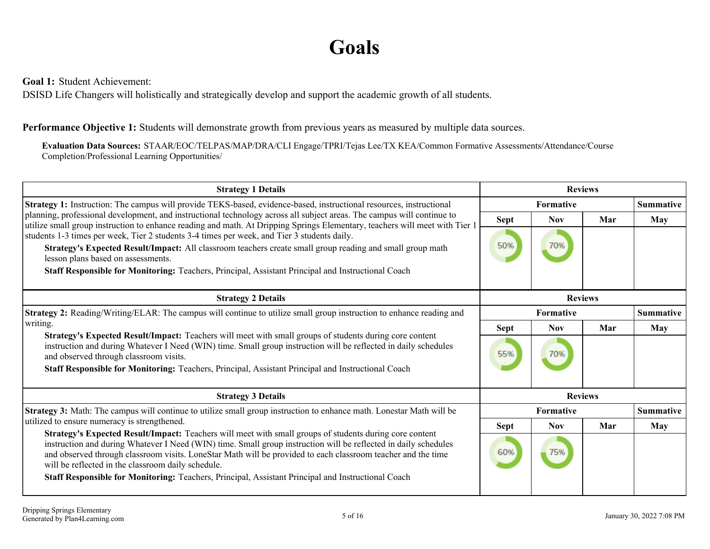#### **Goals**

<span id="page-4-0"></span>**Goal 1:** Student Achievement:

DSISD Life Changers will holistically and strategically develop and support the academic growth of all students.

#### **Performance Objective 1:** Students will demonstrate growth from previous years as measured by multiple data sources.

**Evaluation Data Sources:** STAAR/EOC/TELPAS/MAP/DRA/CLI Engage/TPRI/Tejas Lee/TX KEA/Common Formative Assessments/Attendance/Course Completion/Professional Learning Opportunities/

| <b>Strategy 1 Details</b>                                                                                                                                                                                                                                                                                                                                                                        | <b>Reviews</b> |                  |                |                  |
|--------------------------------------------------------------------------------------------------------------------------------------------------------------------------------------------------------------------------------------------------------------------------------------------------------------------------------------------------------------------------------------------------|----------------|------------------|----------------|------------------|
| Strategy 1: Instruction: The campus will provide TEKS-based, evidence-based, instructional resources, instructional                                                                                                                                                                                                                                                                              |                | <b>Formative</b> |                | <b>Summative</b> |
| planning, professional development, and instructional technology across all subject areas. The campus will continue to<br>utilize small group instruction to enhance reading and math. At Dripping Springs Elementary, teachers will meet with Tier 1                                                                                                                                            | <b>Sept</b>    | <b>Nov</b>       | Mar            | May              |
| students 1-3 times per week, Tier 2 students 3-4 times per week, and Tier 3 students daily.                                                                                                                                                                                                                                                                                                      |                |                  |                |                  |
| Strategy's Expected Result/Impact: All classroom teachers create small group reading and small group math<br>lesson plans based on assessments.                                                                                                                                                                                                                                                  | 50%            | 70%              |                |                  |
| Staff Responsible for Monitoring: Teachers, Principal, Assistant Principal and Instructional Coach                                                                                                                                                                                                                                                                                               |                |                  |                |                  |
| <b>Strategy 2 Details</b>                                                                                                                                                                                                                                                                                                                                                                        | <b>Reviews</b> |                  |                |                  |
| <b>Strategy 2:</b> Reading/Writing/ELAR: The campus will continue to utilize small group instruction to enhance reading and                                                                                                                                                                                                                                                                      | Formative      |                  |                | <b>Summative</b> |
| writing.<br>Strategy's Expected Result/Impact: Teachers will meet with small groups of students during core content<br>instruction and during Whatever I Need (WIN) time. Small group instruction will be reflected in daily schedules<br>and observed through classroom visits.                                                                                                                 | Sept           | <b>Nov</b>       | Mar            | May              |
|                                                                                                                                                                                                                                                                                                                                                                                                  | 55%            | 70%              |                |                  |
| Staff Responsible for Monitoring: Teachers, Principal, Assistant Principal and Instructional Coach                                                                                                                                                                                                                                                                                               |                |                  |                |                  |
| <b>Strategy 3 Details</b>                                                                                                                                                                                                                                                                                                                                                                        |                |                  | <b>Reviews</b> |                  |
| <b>Strategy 3:</b> Math: The campus will continue to utilize small group instruction to enhance math. Lonestar Math will be                                                                                                                                                                                                                                                                      |                | <b>Formative</b> |                | <b>Summative</b> |
| utilized to ensure numeracy is strengthened.                                                                                                                                                                                                                                                                                                                                                     | <b>Sept</b>    | <b>Nov</b>       | Mar            | May              |
| Strategy's Expected Result/Impact: Teachers will meet with small groups of students during core content<br>instruction and during Whatever I Need (WIN) time. Small group instruction will be reflected in daily schedules<br>and observed through classroom visits. LoneStar Math will be provided to each classroom teacher and the time<br>will be reflected in the classroom daily schedule. | 60%            | 75%              |                |                  |
| Staff Responsible for Monitoring: Teachers, Principal, Assistant Principal and Instructional Coach                                                                                                                                                                                                                                                                                               |                |                  |                |                  |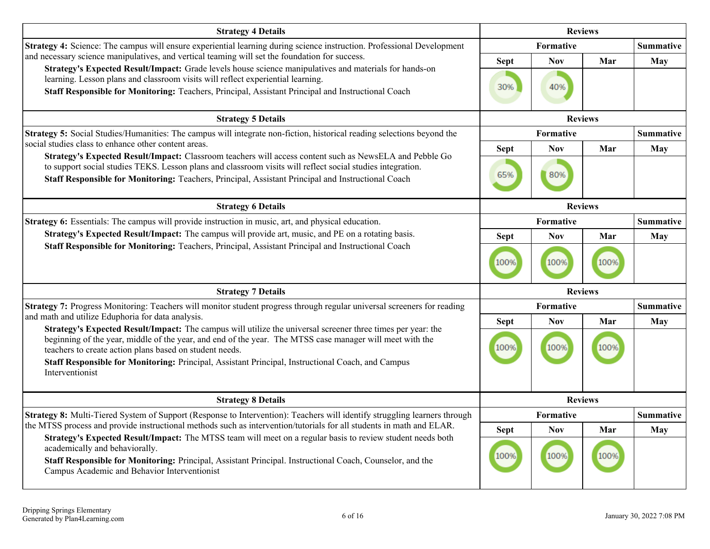| <b>Strategy 4 Details</b>                                                                                                                                                                                                                                                                                                                                                                                                         | <b>Reviews</b>      |                         |                |                         |
|-----------------------------------------------------------------------------------------------------------------------------------------------------------------------------------------------------------------------------------------------------------------------------------------------------------------------------------------------------------------------------------------------------------------------------------|---------------------|-------------------------|----------------|-------------------------|
| Strategy 4: Science: The campus will ensure experiential learning during science instruction. Professional Development                                                                                                                                                                                                                                                                                                            |                     | Formative               |                | <b>Summative</b>        |
| and necessary science manipulatives, and vertical teaming will set the foundation for success.<br>Strategy's Expected Result/Impact: Grade levels house science manipulatives and materials for hands-on<br>learning. Lesson plans and classroom visits will reflect experiential learning.<br>Staff Responsible for Monitoring: Teachers, Principal, Assistant Principal and Instructional Coach                                 | <b>Sept</b><br>30%  | <b>Nov</b><br>40%       | Mar            | May                     |
| <b>Strategy 5 Details</b>                                                                                                                                                                                                                                                                                                                                                                                                         | <b>Reviews</b>      |                         |                |                         |
| Strategy 5: Social Studies/Humanities: The campus will integrate non-fiction, historical reading selections beyond the<br>social studies class to enhance other content areas.<br>Strategy's Expected Result/Impact: Classroom teachers will access content such as NewsELA and Pebble Go                                                                                                                                         |                     | Formative<br><b>Nov</b> | Mar            | <b>Summative</b><br>May |
| to support social studies TEKS. Lesson plans and classroom visits will reflect social studies integration.<br>Staff Responsible for Monitoring: Teachers, Principal, Assistant Principal and Instructional Coach                                                                                                                                                                                                                  | 65%                 | 80%                     |                |                         |
| <b>Strategy 6 Details</b>                                                                                                                                                                                                                                                                                                                                                                                                         | <b>Reviews</b>      |                         |                |                         |
| <b>Strategy 6:</b> Essentials: The campus will provide instruction in music, art, and physical education.                                                                                                                                                                                                                                                                                                                         | <b>Formative</b>    |                         |                | <b>Summative</b>        |
| Strategy's Expected Result/Impact: The campus will provide art, music, and PE on a rotating basis.<br>Staff Responsible for Monitoring: Teachers, Principal, Assistant Principal and Instructional Coach                                                                                                                                                                                                                          | <b>Sept</b><br>100% | <b>Nov</b><br>100%      | Mar<br>100%    | May                     |
| <b>Strategy 7 Details</b>                                                                                                                                                                                                                                                                                                                                                                                                         |                     |                         | <b>Reviews</b> |                         |
| Strategy 7: Progress Monitoring: Teachers will monitor student progress through regular universal screeners for reading<br>and math and utilize Eduphoria for data analysis.                                                                                                                                                                                                                                                      |                     | <b>Formative</b>        |                | <b>Summative</b>        |
| Strategy's Expected Result/Impact: The campus will utilize the universal screener three times per year: the<br>beginning of the year, middle of the year, and end of the year. The MTSS case manager will meet with the<br>teachers to create action plans based on student needs.<br>Staff Responsible for Monitoring: Principal, Assistant Principal, Instructional Coach, and Campus<br>Interventionist                        | <b>Sept</b><br>100% | Nov<br>100%             | Mar<br>100%    | May                     |
| <b>Strategy 8 Details</b>                                                                                                                                                                                                                                                                                                                                                                                                         |                     |                         | <b>Reviews</b> |                         |
| Strategy 8: Multi-Tiered System of Support (Response to Intervention): Teachers will identify struggling learners through                                                                                                                                                                                                                                                                                                         |                     | Formative               |                | <b>Summative</b>        |
| the MTSS process and provide instructional methods such as intervention/tutorials for all students in math and ELAR.<br>Strategy's Expected Result/Impact: The MTSS team will meet on a regular basis to review student needs both<br>academically and behaviorally.<br>Staff Responsible for Monitoring: Principal, Assistant Principal. Instructional Coach, Counselor, and the<br>Campus Academic and Behavior Interventionist | <b>Sept</b><br>100% | <b>Nov</b><br>100%      | Mar<br>100%    | May                     |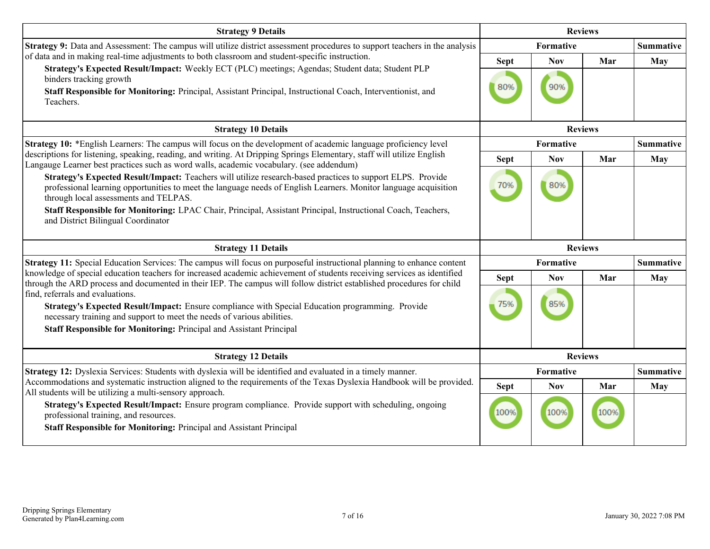| <b>Strategy 9 Details</b>                                                                                                                                                                                                                                                                                                                                                                                      | <b>Reviews</b>     |                   |                |                  |
|----------------------------------------------------------------------------------------------------------------------------------------------------------------------------------------------------------------------------------------------------------------------------------------------------------------------------------------------------------------------------------------------------------------|--------------------|-------------------|----------------|------------------|
| Strategy 9: Data and Assessment: The campus will utilize district assessment procedures to support teachers in the analysis                                                                                                                                                                                                                                                                                    |                    | Formative         |                | <b>Summative</b> |
| of data and in making real-time adjustments to both classroom and student-specific instruction.<br>Strategy's Expected Result/Impact: Weekly ECT (PLC) meetings; Agendas; Student data; Student PLP<br>binders tracking growth<br>Staff Responsible for Monitoring: Principal, Assistant Principal, Instructional Coach, Interventionist, and<br>Teachers.                                                     | <b>Sept</b><br>80% | <b>Nov</b><br>90% | Mar            | May              |
| <b>Strategy 10 Details</b>                                                                                                                                                                                                                                                                                                                                                                                     |                    | <b>Reviews</b>    |                |                  |
| Strategy 10: *English Learners: The campus will focus on the development of academic language proficiency level                                                                                                                                                                                                                                                                                                |                    | Formative         |                | <b>Summative</b> |
| descriptions for listening, speaking, reading, and writing. At Dripping Springs Elementary, staff will utilize English<br>Langauge Learner best practices such as word walls, academic vocabulary. (see addendum)                                                                                                                                                                                              | <b>Sept</b>        | <b>Nov</b>        | Mar            | <b>May</b>       |
| Strategy's Expected Result/Impact: Teachers will utilize research-based practices to support ELPS. Provide<br>professional learning opportunities to meet the language needs of English Learners. Monitor language acquisition<br>through local assessments and TELPAS.                                                                                                                                        | 70%                | 80%               |                |                  |
| Staff Responsible for Monitoring: LPAC Chair, Principal, Assistant Principal, Instructional Coach, Teachers,<br>and District Bilingual Coordinator                                                                                                                                                                                                                                                             |                    |                   |                |                  |
| <b>Strategy 11 Details</b>                                                                                                                                                                                                                                                                                                                                                                                     |                    |                   |                |                  |
|                                                                                                                                                                                                                                                                                                                                                                                                                |                    |                   | <b>Reviews</b> |                  |
| Strategy 11: Special Education Services: The campus will focus on purposeful instructional planning to enhance content                                                                                                                                                                                                                                                                                         |                    | Formative         |                | <b>Summative</b> |
| knowledge of special education teachers for increased academic achievement of students receiving services as identified                                                                                                                                                                                                                                                                                        | <b>Sept</b>        | <b>Nov</b>        | Mar            | May              |
| through the ARD process and documented in their IEP. The campus will follow district established procedures for child<br>find, referrals and evaluations.<br>Strategy's Expected Result/Impact: Ensure compliance with Special Education programming. Provide<br>necessary training and support to meet the needs of various abilities.<br>Staff Responsible for Monitoring: Principal and Assistant Principal | 75%                | 85%               |                |                  |
| <b>Strategy 12 Details</b>                                                                                                                                                                                                                                                                                                                                                                                     |                    | <b>Reviews</b>    |                |                  |
| Strategy 12: Dyslexia Services: Students with dyslexia will be identified and evaluated in a timely manner.                                                                                                                                                                                                                                                                                                    |                    | Formative         |                | <b>Summative</b> |
| Accommodations and systematic instruction aligned to the requirements of the Texas Dyslexia Handbook will be provided.<br>All students will be utilizing a multi-sensory approach.                                                                                                                                                                                                                             | <b>Sept</b>        | <b>Nov</b>        | Mar            | May              |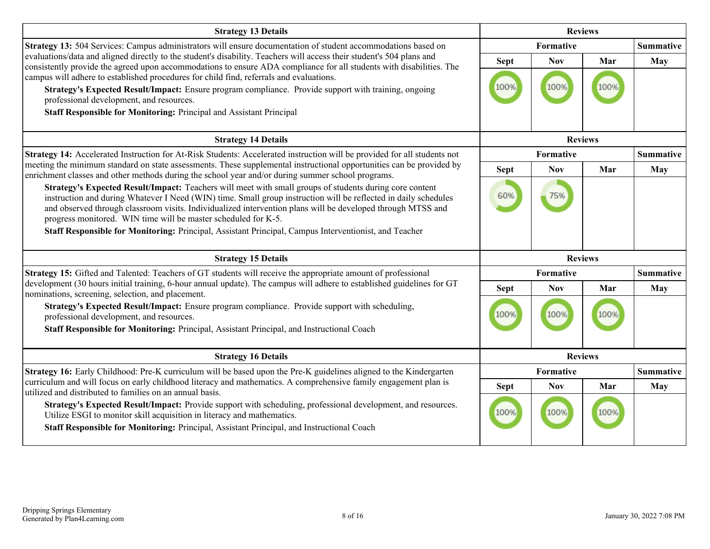| <b>Strategy 13 Details</b>                                                                                                                                                                                                                                                                                                                                                                                                                                                                                                                                          | <b>Reviews</b>      |                    |      |                  |
|---------------------------------------------------------------------------------------------------------------------------------------------------------------------------------------------------------------------------------------------------------------------------------------------------------------------------------------------------------------------------------------------------------------------------------------------------------------------------------------------------------------------------------------------------------------------|---------------------|--------------------|------|------------------|
| Strategy 13: 504 Services: Campus administrators will ensure documentation of student accommodations based on                                                                                                                                                                                                                                                                                                                                                                                                                                                       |                     | Formative          |      | <b>Summative</b> |
| evaluations/data and aligned directly to the student's disability. Teachers will access their student's 504 plans and<br>consistently provide the agreed upon accommodations to ensure ADA compliance for all students with disabilities. The<br>campus will adhere to established procedures for child find, referrals and evaluations.<br>Strategy's Expected Result/Impact: Ensure program compliance. Provide support with training, ongoing<br>professional development, and resources.<br>Staff Responsible for Monitoring: Principal and Assistant Principal | <b>Sept</b><br>100% | <b>Nov</b><br>1009 | Mar  | <b>May</b>       |
| <b>Strategy 14 Details</b>                                                                                                                                                                                                                                                                                                                                                                                                                                                                                                                                          |                     | <b>Reviews</b>     |      |                  |
| Strategy 14: Accelerated Instruction for At-Risk Students: Accelerated instruction will be provided for all students not                                                                                                                                                                                                                                                                                                                                                                                                                                            | Formative           |                    |      | <b>Summative</b> |
| meeting the minimum standard on state assessments. These supplemental instructional opportunities can be provided by<br>enrichment classes and other methods during the school year and/or during summer school programs.                                                                                                                                                                                                                                                                                                                                           | <b>Sept</b>         | <b>Nov</b>         | Mar  | <b>May</b>       |
| Strategy's Expected Result/Impact: Teachers will meet with small groups of students during core content<br>instruction and during Whatever I Need (WIN) time. Small group instruction will be reflected in daily schedules<br>and observed through classroom visits. Individualized intervention plans will be developed through MTSS and<br>progress monitored. WIN time will be master scheduled for K-5.<br>Staff Responsible for Monitoring: Principal, Assistant Principal, Campus Interventionist, and Teacher                                                | 60%                 | 75%                |      |                  |
|                                                                                                                                                                                                                                                                                                                                                                                                                                                                                                                                                                     |                     |                    |      |                  |
| <b>Strategy 15 Details</b>                                                                                                                                                                                                                                                                                                                                                                                                                                                                                                                                          |                     | <b>Reviews</b>     |      |                  |
| Strategy 15: Gifted and Talented: Teachers of GT students will receive the appropriate amount of professional                                                                                                                                                                                                                                                                                                                                                                                                                                                       |                     | Formative          |      | <b>Summative</b> |
| development (30 hours initial training, 6-hour annual update). The campus will adhere to established guidelines for GT<br>nominations, screening, selection, and placement.                                                                                                                                                                                                                                                                                                                                                                                         | <b>Sept</b>         | <b>Nov</b>         | Mar  | <b>May</b>       |
| Strategy's Expected Result/Impact: Ensure program compliance. Provide support with scheduling,<br>professional development, and resources.<br>Staff Responsible for Monitoring: Principal, Assistant Principal, and Instructional Coach                                                                                                                                                                                                                                                                                                                             | 100%                | 100%               | 100% |                  |
| <b>Strategy 16 Details</b>                                                                                                                                                                                                                                                                                                                                                                                                                                                                                                                                          |                     | <b>Reviews</b>     |      |                  |
| Strategy 16: Early Childhood: Pre-K curriculum will be based upon the Pre-K guidelines aligned to the Kindergarten                                                                                                                                                                                                                                                                                                                                                                                                                                                  |                     | Formative          |      | <b>Summative</b> |
| curriculum and will focus on early childhood literacy and mathematics. A comprehensive family engagement plan is<br>utilized and distributed to families on an annual basis.                                                                                                                                                                                                                                                                                                                                                                                        | <b>Sept</b>         | <b>Nov</b>         | Mar  | <b>May</b>       |
| Strategy's Expected Result/Impact: Provide support with scheduling, professional development, and resources.<br>Utilize ESGI to monitor skill acquisition in literacy and mathematics.<br>Staff Responsible for Monitoring: Principal, Assistant Principal, and Instructional Coach                                                                                                                                                                                                                                                                                 | 100%                | 100%               |      |                  |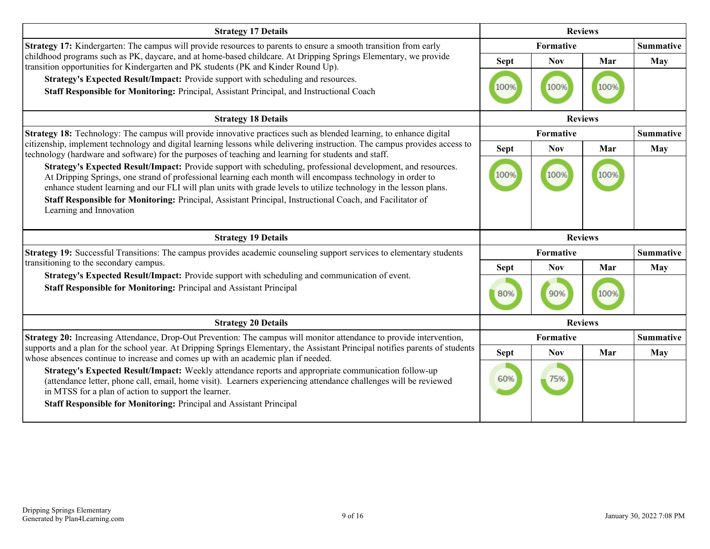| <b>Strategy 17 Details</b>                                                                                                                                                                                                                                                                                                                                                                                                                   | <b>Reviews</b> |                |                |                  |
|----------------------------------------------------------------------------------------------------------------------------------------------------------------------------------------------------------------------------------------------------------------------------------------------------------------------------------------------------------------------------------------------------------------------------------------------|----------------|----------------|----------------|------------------|
| <b>Strategy 17:</b> Kindergarten: The campus will provide resources to parents to ensure a smooth transition from early                                                                                                                                                                                                                                                                                                                      |                | Formative      |                | <b>Summative</b> |
| childhood programs such as PK, daycare, and at home-based childcare. At Dripping Springs Elementary, we provide<br>transition opportunities for Kindergarten and PK students (PK and Kinder Round Up).                                                                                                                                                                                                                                       | <b>Sept</b>    | <b>Nov</b>     | Mar            | May              |
| Strategy's Expected Result/Impact: Provide support with scheduling and resources.<br>Staff Responsible for Monitoring: Principal, Assistant Principal, and Instructional Coach                                                                                                                                                                                                                                                               | 100%           | 100%           | 100%           |                  |
| <b>Strategy 18 Details</b>                                                                                                                                                                                                                                                                                                                                                                                                                   |                |                | <b>Reviews</b> |                  |
| <b>Strategy 18:</b> Technology: The campus will provide innovative practices such as blended learning, to enhance digital                                                                                                                                                                                                                                                                                                                    | Formative      |                |                | <b>Summative</b> |
| citizenship, implement technology and digital learning lessons while delivering instruction. The campus provides access to<br>technology (hardware and software) for the purposes of teaching and learning for students and staff.                                                                                                                                                                                                           | <b>Sept</b>    | <b>Nov</b>     | Mar            | May              |
| Strategy's Expected Result/Impact: Provide support with scheduling, professional development, and resources.<br>At Dripping Springs, one strand of professional learning each month will encompass technology in order to<br>enhance student learning and our FLI will plan units with grade levels to utilize technology in the lesson plans.                                                                                               | 100%           | 100%           | 100%           |                  |
| Staff Responsible for Monitoring: Principal, Assistant Principal, Instructional Coach, and Facilitator of<br>Learning and Innovation                                                                                                                                                                                                                                                                                                         |                |                |                |                  |
| <b>Strategy 19 Details</b>                                                                                                                                                                                                                                                                                                                                                                                                                   |                | <b>Reviews</b> |                |                  |
|                                                                                                                                                                                                                                                                                                                                                                                                                                              | Formative      |                |                |                  |
| Strategy 19: Successful Transitions: The campus provides academic counseling support services to elementary students                                                                                                                                                                                                                                                                                                                         |                |                |                | <b>Summative</b> |
| transitioning to the secondary campus.                                                                                                                                                                                                                                                                                                                                                                                                       | <b>Sept</b>    | <b>Nov</b>     | Mar            | May              |
| Strategy's Expected Result/Impact: Provide support with scheduling and communication of event.<br>Staff Responsible for Monitoring: Principal and Assistant Principal                                                                                                                                                                                                                                                                        | 80%            | 90%            | 100%           |                  |
| <b>Strategy 20 Details</b>                                                                                                                                                                                                                                                                                                                                                                                                                   |                |                | <b>Reviews</b> |                  |
| Strategy 20: Increasing Attendance, Drop-Out Prevention: The campus will monitor attendance to provide intervention,                                                                                                                                                                                                                                                                                                                         |                | Formative      |                | <b>Summative</b> |
| supports and a plan for the school year. At Dripping Springs Elementary, the Assistant Principal notifies parents of students                                                                                                                                                                                                                                                                                                                | <b>Sept</b>    | <b>Nov</b>     | Mar            | May              |
| whose absences continue to increase and comes up with an academic plan if needed.<br>Strategy's Expected Result/Impact: Weekly attendance reports and appropriate communication follow-up<br>(attendance letter, phone call, email, home visit). Learners experiencing attendance challenges will be reviewed<br>in MTSS for a plan of action to support the learner.<br>Staff Responsible for Monitoring: Principal and Assistant Principal | 60%            | 75%            |                |                  |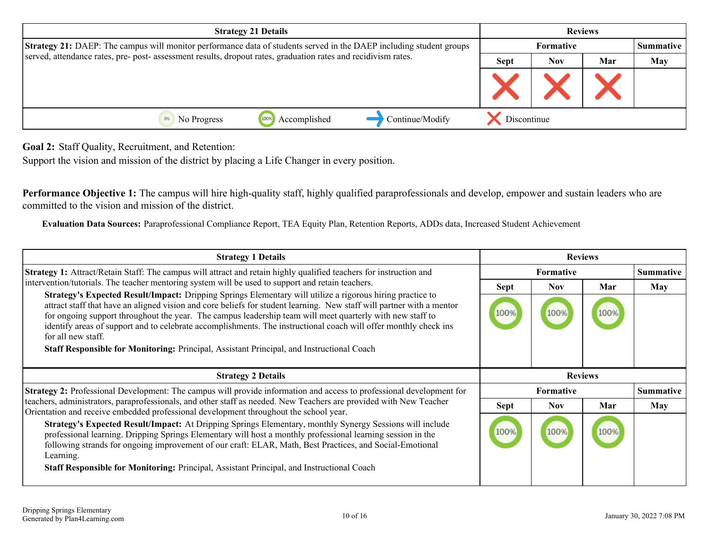<span id="page-9-0"></span>

| <b>Strategy 21 Details</b>                                                                                                 |  | <b>Reviews</b> |                   |  |  |
|----------------------------------------------------------------------------------------------------------------------------|--|----------------|-------------------|--|--|
| <b>Strategy 21:</b> DAEP: The campus will monitor performance data of students served in the DAEP including student groups |  |                | <b>Formative</b>  |  |  |
| served, attendance rates, pre- post- assessment results, dropout rates, graduation rates and recidivism rates.             |  | <b>Sept</b>    | Mar<br><b>Nov</b> |  |  |
|                                                                                                                            |  |                |                   |  |  |
| Continue/Modify<br>Accomplished<br>1009<br>No Progress                                                                     |  | Discontinue    |                   |  |  |

**Goal 2:** Staff Quality, Recruitment, and Retention:

Support the vision and mission of the district by placing a Life Changer in every position.

**Performance Objective 1:** The campus will hire high-quality staff, highly qualified paraprofessionals and develop, empower and sustain leaders who are committed to the vision and mission of the district.

**Evaluation Data Sources:** Paraprofessional Compliance Report, TEA Equity Plan, Retention Reports, ADDs data, Increased Student Achievement

| <b>Strategy 1 Details</b>                                                                                                                                                                                                                                                                                                                                                                                                                                                                 | <b>Reviews</b>   |                  |                |                  |
|-------------------------------------------------------------------------------------------------------------------------------------------------------------------------------------------------------------------------------------------------------------------------------------------------------------------------------------------------------------------------------------------------------------------------------------------------------------------------------------------|------------------|------------------|----------------|------------------|
| <b>Strategy 1:</b> Attract/Retain Staff: The campus will attract and retain highly qualified teachers for instruction and                                                                                                                                                                                                                                                                                                                                                                 | <b>Formative</b> |                  |                | <b>Summative</b> |
| intervention/tutorials. The teacher mentoring system will be used to support and retain teachers.                                                                                                                                                                                                                                                                                                                                                                                         | Sept             | Nov.             | Mar            | May              |
| Strategy's Expected Result/Impact: Dripping Springs Elementary will utilize a rigorous hiring practice to<br>attract staff that have an aligned vision and core beliefs for student learning. New staff will partner with a mentor<br>for ongoing support throughout the year. The campus leadership team will meet quarterly with new staff to<br>identify areas of support and to celebrate accomplishments. The instructional coach will offer monthly check ins<br>for all new staff. | 100%             | 100%             | 100%           |                  |
| Staff Responsible for Monitoring: Principal, Assistant Principal, and Instructional Coach                                                                                                                                                                                                                                                                                                                                                                                                 |                  |                  |                |                  |
|                                                                                                                                                                                                                                                                                                                                                                                                                                                                                           |                  |                  |                |                  |
|                                                                                                                                                                                                                                                                                                                                                                                                                                                                                           |                  |                  |                |                  |
| <b>Strategy 2 Details</b>                                                                                                                                                                                                                                                                                                                                                                                                                                                                 |                  |                  | <b>Reviews</b> |                  |
| Strategy 2: Professional Development: The campus will provide information and access to professional development for                                                                                                                                                                                                                                                                                                                                                                      |                  | <b>Formative</b> |                | <b>Summative</b> |
| teachers, administrators, paraprofessionals, and other staff as needed. New Teachers are provided with New Teacher                                                                                                                                                                                                                                                                                                                                                                        | Sept             | Nov.             | Mar            | May              |
| Orientation and receive embedded professional development throughout the school year.<br>Strategy's Expected Result/Impact: At Dripping Springs Elementary, monthly Synergy Sessions will include<br>professional learning. Dripping Springs Elementary will host a monthly professional learning session in the<br>following strands for ongoing improvement of our craft: ELAR, Math, Best Practices, and Social-Emotional<br>Learning.                                                 | 100%             | 100%             |                |                  |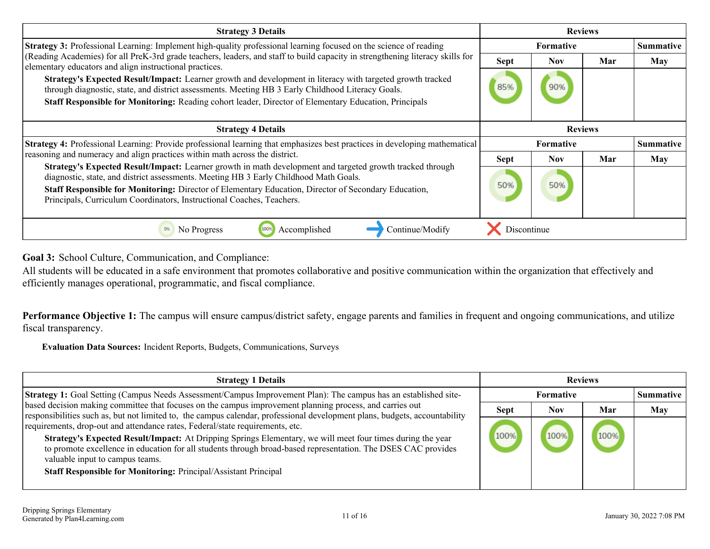<span id="page-10-0"></span>

| <b>Strategy 3 Details</b>                                                                                                                                                                                                                                                                                                                                                                  | <b>Reviews</b>   |                |     |                  |
|--------------------------------------------------------------------------------------------------------------------------------------------------------------------------------------------------------------------------------------------------------------------------------------------------------------------------------------------------------------------------------------------|------------------|----------------|-----|------------------|
| Strategy 3: Professional Learning: Implement high-quality professional learning focused on the science of reading                                                                                                                                                                                                                                                                          | Formative        |                |     | <b>Summative</b> |
| (Reading Academies) for all PreK-3rd grade teachers, leaders, and staff to build capacity in strengthening literacy skills for<br>elementary educators and align instructional practices.                                                                                                                                                                                                  | <b>Sept</b>      | <b>Nov</b>     | Mar | May              |
| Strategy's Expected Result/Impact: Learner growth and development in literacy with targeted growth tracked<br>through diagnostic, state, and district assessments. Meeting HB 3 Early Childhood Literacy Goals.<br>Staff Responsible for Monitoring: Reading cohort leader, Director of Elementary Education, Principals                                                                   | 85%              | 90%            |     |                  |
| <b>Strategy 4 Details</b>                                                                                                                                                                                                                                                                                                                                                                  |                  | <b>Reviews</b> |     |                  |
| Strategy 4: Professional Learning: Provide professional learning that emphasizes best practices in developing mathematical                                                                                                                                                                                                                                                                 | <b>Formative</b> |                |     | <b>Summative</b> |
| reasoning and numeracy and align practices within math across the district.                                                                                                                                                                                                                                                                                                                | <b>Sept</b>      | Nov.           | Mar | May              |
| Strategy's Expected Result/Impact: Learner growth in math development and targeted growth tracked through<br>diagnostic, state, and district assessments. Meeting HB 3 Early Childhood Math Goals.<br><b>Staff Responsible for Monitoring:</b> Director of Elementary Education, Director of Secondary Education,<br>Principals, Curriculum Coordinators, Instructional Coaches, Teachers. | 50%              | 50%            |     |                  |
| No Progress<br>Accomplished<br>Continue/Modify<br>0%<br>100%                                                                                                                                                                                                                                                                                                                               | Discontinue      |                |     |                  |

**Goal 3:** School Culture, Communication, and Compliance:

All students will be educated in a safe environment that promotes collaborative and positive communication within the organization that effectively and efficiently manages operational, programmatic, and fiscal compliance.

Performance Objective 1: The campus will ensure campus/district safety, engage parents and families in frequent and ongoing communications, and utilize fiscal transparency.

**Evaluation Data Sources:** Incident Reports, Budgets, Communications, Surveys

| <b>Strategy 1 Details</b>                                                                                                                                                                                                                                                                                                                                                                                                 | <b>Reviews</b> |                  |      |                  |
|---------------------------------------------------------------------------------------------------------------------------------------------------------------------------------------------------------------------------------------------------------------------------------------------------------------------------------------------------------------------------------------------------------------------------|----------------|------------------|------|------------------|
| <b>Strategy 1:</b> Goal Setting (Campus Needs Assessment/Campus Improvement Plan): The campus has an established site-                                                                                                                                                                                                                                                                                                    |                | <b>Formative</b> |      | <b>Summative</b> |
| based decision making committee that focuses on the campus improvement planning process, and carries out<br>responsibilities such as, but not limited to, the campus calendar, professional development plans, budgets, accountability                                                                                                                                                                                    | <b>Sept</b>    | <b>Nov</b>       | Mar  | May              |
| requirements, drop-out and attendance rates, Federal/state requirements, etc.<br>Strategy's Expected Result/Impact: At Dripping Springs Elementary, we will meet four times during the year<br>to promote excellence in education for all students through broad-based representation. The DSES CAC provides<br>valuable input to campus teams.<br><b>Staff Responsible for Monitoring: Principal/Assistant Principal</b> | 100%           | 100%             | 100% |                  |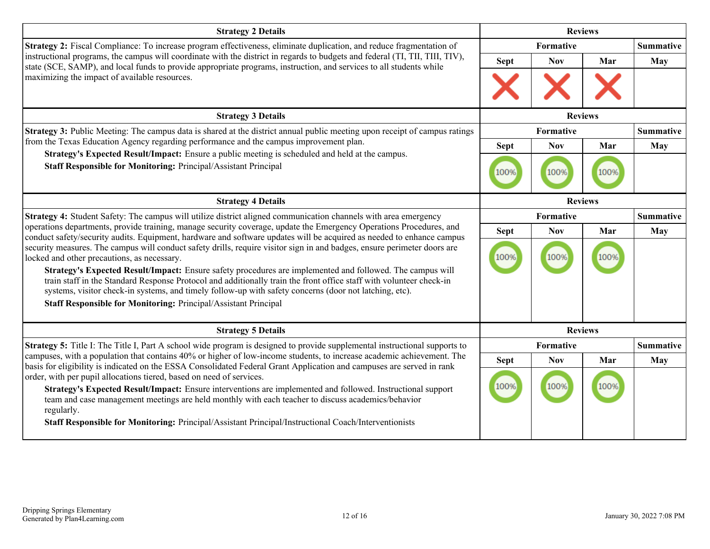| <b>Strategy 2 Details</b>                                                                                                                                                                                                                                                                                                                  | <b>Reviews</b>   |                  |      |                  |  |
|--------------------------------------------------------------------------------------------------------------------------------------------------------------------------------------------------------------------------------------------------------------------------------------------------------------------------------------------|------------------|------------------|------|------------------|--|
| Strategy 2: Fiscal Compliance: To increase program effectiveness, eliminate duplication, and reduce fragmentation of                                                                                                                                                                                                                       |                  | <b>Formative</b> |      | <b>Summative</b> |  |
| instructional programs, the campus will coordinate with the district in regards to budgets and federal (TI, TII, TIII, TIV),<br>state (SCE, SAMP), and local funds to provide appropriate programs, instruction, and services to all students while                                                                                        | <b>Sept</b>      | <b>Nov</b>       | Mar  | May              |  |
| maximizing the impact of available resources.                                                                                                                                                                                                                                                                                              |                  |                  |      |                  |  |
| <b>Strategy 3 Details</b>                                                                                                                                                                                                                                                                                                                  | <b>Reviews</b>   |                  |      |                  |  |
| <b>Strategy 3:</b> Public Meeting: The campus data is shared at the district annual public meeting upon receipt of campus ratings                                                                                                                                                                                                          | Formative        |                  |      | <b>Summative</b> |  |
| from the Texas Education Agency regarding performance and the campus improvement plan.                                                                                                                                                                                                                                                     | <b>Sept</b>      | <b>Nov</b>       | Mar  | <b>May</b>       |  |
| Strategy's Expected Result/Impact: Ensure a public meeting is scheduled and held at the campus.<br>Staff Responsible for Monitoring: Principal/Assistant Principal                                                                                                                                                                         | 100%             | 100%             | 100% |                  |  |
| <b>Strategy 4 Details</b>                                                                                                                                                                                                                                                                                                                  | <b>Reviews</b>   |                  |      |                  |  |
| Strategy 4: Student Safety: The campus will utilize district aligned communication channels with area emergency                                                                                                                                                                                                                            | <b>Formative</b> |                  |      | <b>Summative</b> |  |
| operations departments, provide training, manage security coverage, update the Emergency Operations Procedures, and<br>conduct safety/security audits. Equipment, hardware and software updates will be acquired as needed to enhance campus                                                                                               | <b>Sept</b>      | <b>Nov</b>       | Mar  | May              |  |
| security measures. The campus will conduct safety drills, require visitor sign in and badges, ensure perimeter doors are<br>locked and other precautions, as necessary.                                                                                                                                                                    | 100%             | 100%             |      |                  |  |
| Strategy's Expected Result/Impact: Ensure safety procedures are implemented and followed. The campus will<br>train staff in the Standard Response Protocol and additionally train the front office staff with volunteer check-in<br>systems, visitor check-in systems, and timely follow-up with safety concerns (door not latching, etc). |                  |                  |      |                  |  |
| <b>Staff Responsible for Monitoring: Principal/Assistant Principal</b>                                                                                                                                                                                                                                                                     |                  |                  |      |                  |  |
| <b>Strategy 5 Details</b>                                                                                                                                                                                                                                                                                                                  |                  | <b>Reviews</b>   |      |                  |  |
| <b>Strategy 5:</b> Title I: The Title I, Part A school wide program is designed to provide supplemental instructional supports to                                                                                                                                                                                                          |                  | Formative        |      | <b>Summative</b> |  |
| campuses, with a population that contains 40% or higher of low-income students, to increase academic achievement. The<br>basis for eligibility is indicated on the ESSA Consolidated Federal Grant Application and campuses are served in rank                                                                                             | <b>Sept</b>      | <b>Nov</b>       | Mar  | May              |  |
| order, with per pupil allocations tiered, based on need of services.                                                                                                                                                                                                                                                                       |                  |                  |      |                  |  |
| Strategy's Expected Result/Impact: Ensure interventions are implemented and followed. Instructional support<br>team and case management meetings are held monthly with each teacher to discuss academics/behavior<br>regularly.                                                                                                            | 100%             | 100%             |      |                  |  |
| Staff Responsible for Monitoring: Principal/Assistant Principal/Instructional Coach/Interventionists                                                                                                                                                                                                                                       |                  |                  |      |                  |  |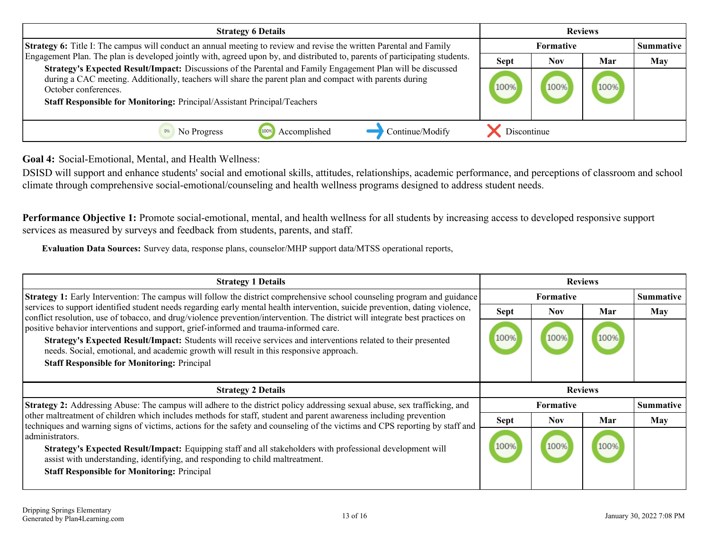<span id="page-12-0"></span>

| <b>Strategy 6 Details</b>                                                                                                                                                                                                                                                                                                  | <b>Reviews</b> |                  |      |     |  |
|----------------------------------------------------------------------------------------------------------------------------------------------------------------------------------------------------------------------------------------------------------------------------------------------------------------------------|----------------|------------------|------|-----|--|
| <b>Strategy 6:</b> Title I: The campus will conduct an annual meeting to review and revise the written Parental and Family<br>Engagement Plan. The plan is developed jointly with, agreed upon by, and distributed to, parents of participating students.                                                                  |                | <b>Formative</b> |      |     |  |
|                                                                                                                                                                                                                                                                                                                            |                | Nov              | Mar  | May |  |
| Strategy's Expected Result/Impact: Discussions of the Parental and Family Engagement Plan will be discussed<br>during a CAC meeting. Additionally, teachers will share the parent plan and compact with parents during<br>October conferences.<br>Staff Responsible for Monitoring: Principal/Assistant Principal/Teachers |                | 100%             | 100% |     |  |
| Continue/Modify<br>No Progress<br>Accomplished                                                                                                                                                                                                                                                                             | Discontinue    |                  |      |     |  |

**Goal 4:** Social-Emotional, Mental, and Health Wellness:

DSISD will support and enhance students' social and emotional skills, attitudes, relationships, academic performance, and perceptions of classroom and school climate through comprehensive social-emotional/counseling and health wellness programs designed to address student needs.

**Performance Objective 1:** Promote social-emotional, mental, and health wellness for all students by increasing access to developed responsive support services as measured by surveys and feedback from students, parents, and staff.

**Evaluation Data Sources:** Survey data, response plans, counselor/MHP support data/MTSS operational reports,

| <b>Strategy 1 Details</b>                                                                                                                                                                                                                                                                                                                               | <b>Reviews</b> |                  |     |                  |
|---------------------------------------------------------------------------------------------------------------------------------------------------------------------------------------------------------------------------------------------------------------------------------------------------------------------------------------------------------|----------------|------------------|-----|------------------|
| <b>Strategy 1:</b> Early Intervention: The campus will follow the district comprehensive school counseling program and guidance                                                                                                                                                                                                                         | Formative      |                  |     | <b>Summative</b> |
| services to support identified student needs regarding early mental health intervention, suicide prevention, dating violence,<br>conflict resolution, use of tobacco, and drug/violence prevention/intervention. The district will integrate best practices on                                                                                          | <b>Sept</b>    | <b>Nov</b>       | Mar | May              |
| positive behavior interventions and support, grief-informed and trauma-informed care.<br>Strategy's Expected Result/Impact: Students will receive services and interventions related to their presented<br>needs. Social, emotional, and academic growth will result in this responsive approach.<br><b>Staff Responsible for Monitoring: Principal</b> |                | 100%             |     |                  |
|                                                                                                                                                                                                                                                                                                                                                         | <b>Reviews</b> |                  |     |                  |
| <b>Strategy 2 Details</b>                                                                                                                                                                                                                                                                                                                               |                |                  |     |                  |
| <b>Strategy 2:</b> Addressing Abuse: The campus will adhere to the district policy addressing sexual abuse, sex trafficking, and                                                                                                                                                                                                                        |                | <b>Formative</b> |     | Summative        |
| other maltreatment of children which includes methods for staff, student and parent awareness including prevention<br>techniques and warning signs of victims, actions for the safety and counseling of the victims and CPS reporting by staff and                                                                                                      | <b>Sept</b>    | <b>Nov</b>       | Mar | May              |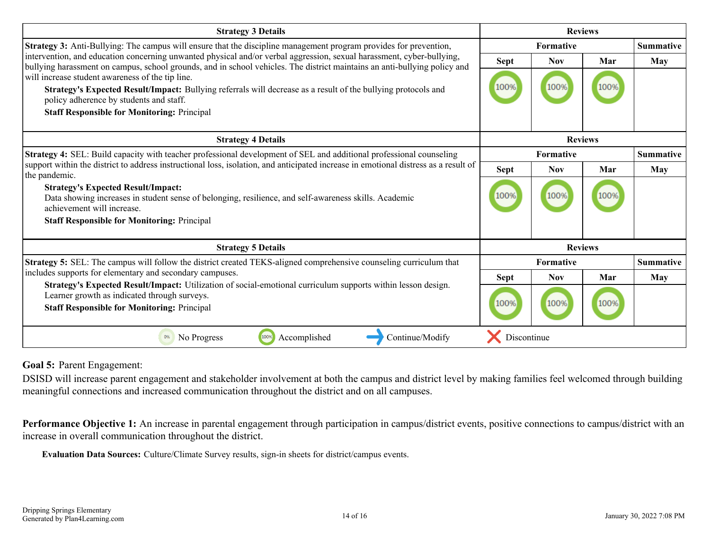<span id="page-13-0"></span>

| <b>Strategy 3 Details</b>                                                                                                                                                                                                                                          | <b>Reviews</b> |                               |      |            |
|--------------------------------------------------------------------------------------------------------------------------------------------------------------------------------------------------------------------------------------------------------------------|----------------|-------------------------------|------|------------|
| <b>Strategy 3:</b> Anti-Bullying: The campus will ensure that the discipline management program provides for prevention,                                                                                                                                           |                | Formative                     |      |            |
| intervention, and education concerning unwanted physical and/or verbal aggression, sexual harassment, cyber-bullying,<br>bullying harassment on campus, school grounds, and in school vehicles. The district maintains an anti-bullying policy and                 | <b>Sept</b>    | <b>Nov</b>                    | Mar  | May        |
| will increase student awareness of the tip line.<br>Strategy's Expected Result/Impact: Bullying referrals will decrease as a result of the bullying protocols and<br>policy adherence by students and staff.<br><b>Staff Responsible for Monitoring: Principal</b> | 100%           | 100%                          | 100% |            |
| <b>Strategy 4 Details</b>                                                                                                                                                                                                                                          | <b>Reviews</b> |                               |      |            |
| Strategy 4: SEL: Build capacity with teacher professional development of SEL and additional professional counseling                                                                                                                                                |                | Formative<br><b>Summative</b> |      |            |
| support within the district to address instructional loss, isolation, and anticipated increase in emotional distress as a result of<br>the pandemic.                                                                                                               | <b>Sept</b>    | <b>Nov</b>                    | Mar  | May        |
| <b>Strategy's Expected Result/Impact:</b><br>Data showing increases in student sense of belonging, resilience, and self-awareness skills. Academic<br>achievement will increase.                                                                                   | 100%           | 100%                          | 100% |            |
| <b>Staff Responsible for Monitoring: Principal</b>                                                                                                                                                                                                                 |                |                               |      |            |
| <b>Strategy 5 Details</b>                                                                                                                                                                                                                                          | <b>Reviews</b> |                               |      |            |
| Strategy 5: SEL: The campus will follow the district created TEKS-aligned comprehensive counseling curriculum that                                                                                                                                                 |                | <b>Summative</b><br>Formative |      |            |
| includes supports for elementary and secondary campuses.                                                                                                                                                                                                           | <b>Sept</b>    | <b>Nov</b>                    | Mar  | <b>May</b> |
| Strategy's Expected Result/Impact: Utilization of social-emotional curriculum supports within lesson design.<br>Learner growth as indicated through surveys.<br><b>Staff Responsible for Monitoring: Principal</b>                                                 | 100%           | 100%                          | 100% |            |
| 100%<br>Accomplished<br>Continue/Modify<br>0%<br>No Progress                                                                                                                                                                                                       | Discontinue    |                               |      |            |

**Goal 5:** Parent Engagement:

DSISD will increase parent engagement and stakeholder involvement at both the campus and district level by making families feel welcomed through building meaningful connections and increased communication throughout the district and on all campuses.

Performance Objective 1: An increase in parental engagement through participation in campus/district events, positive connections to campus/district with an increase in overall communication throughout the district.

**Evaluation Data Sources:** Culture/Climate Survey results, sign-in sheets for district/campus events.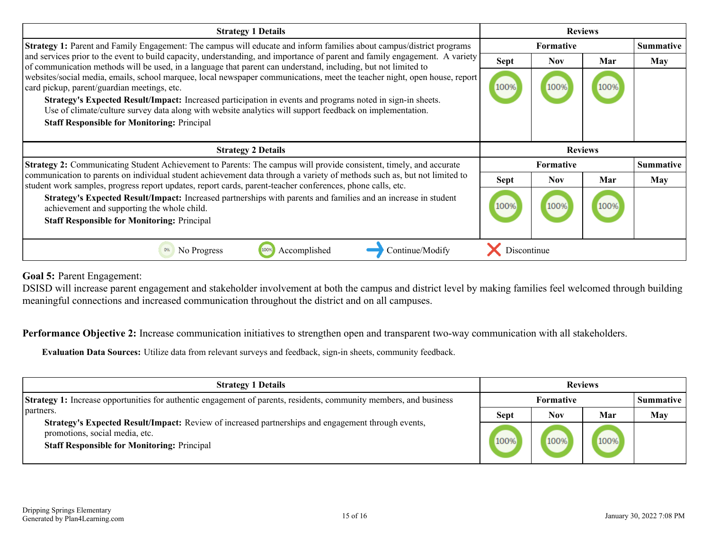| <b>Strategy 1 Details</b>                                                                                                                                                                                                                                                                                                                                                                                                                                | <b>Reviews</b>   |                  |     |                  |
|----------------------------------------------------------------------------------------------------------------------------------------------------------------------------------------------------------------------------------------------------------------------------------------------------------------------------------------------------------------------------------------------------------------------------------------------------------|------------------|------------------|-----|------------------|
| <b>Strategy 1:</b> Parent and Family Engagement: The campus will educate and inform families about campus/district programs                                                                                                                                                                                                                                                                                                                              | <b>Formative</b> |                  |     | <b>Summative</b> |
| and services prior to the event to build capacity, understanding, and importance of parent and family engagement. A variety<br>of communication methods will be used, in a language that parent can understand, including, but not limited to                                                                                                                                                                                                            | <b>Sept</b>      | <b>Nov</b>       | Mar | <b>May</b>       |
| websites/social media, emails, school marquee, local newspaper communications, meet the teacher night, open house, report<br>card pickup, parent/guardian meetings, etc.<br>Strategy's Expected Result/Impact: Increased participation in events and programs noted in sign-in sheets.<br>Use of climate/culture survey data along with website analytics will support feedback on implementation.<br><b>Staff Responsible for Monitoring: Principal</b> | 100%             | 100%             |     |                  |
|                                                                                                                                                                                                                                                                                                                                                                                                                                                          | <b>Reviews</b>   |                  |     |                  |
| <b>Strategy 2 Details</b>                                                                                                                                                                                                                                                                                                                                                                                                                                |                  |                  |     |                  |
| <b>Strategy 2:</b> Communicating Student Achievement to Parents: The campus will provide consistent, timely, and accurate                                                                                                                                                                                                                                                                                                                                |                  | <b>Formative</b> |     | <b>Summative</b> |
| communication to parents on individual student achievement data through a variety of methods such as, but not limited to                                                                                                                                                                                                                                                                                                                                 | <b>Sept</b>      | <b>Nov</b>       | Mar | May              |
| student work samples, progress report updates, report cards, parent-teacher conferences, phone calls, etc.<br>Strategy's Expected Result/Impact: Increased partnerships with parents and families and an increase in student<br>achievement and supporting the whole child.<br><b>Staff Responsible for Monitoring: Principal</b>                                                                                                                        | 100%             | 100%             |     |                  |

**Goal 5:** Parent Engagement:

DSISD will increase parent engagement and stakeholder involvement at both the campus and district level by making families feel welcomed through building meaningful connections and increased communication throughout the district and on all campuses.

**Performance Objective 2:** Increase communication initiatives to strengthen open and transparent two-way communication with all stakeholders.

**Evaluation Data Sources:** Utilize data from relevant surveys and feedback, sign-in sheets, community feedback.

| <b>Strategy 1 Details</b>                                                                                                                                                                  | <b>Reviews</b>   |      |     |                  |
|--------------------------------------------------------------------------------------------------------------------------------------------------------------------------------------------|------------------|------|-----|------------------|
| <b>Strategy 1:</b> Increase opportunities for authentic engagement of parents, residents, community members, and business                                                                  | <b>Formative</b> |      |     | <b>Summative</b> |
| partners.                                                                                                                                                                                  | <b>Sept</b>      | Nov  | Mar | May              |
| Strategy's Expected Result/Impact: Review of increased partnerships and engagement through events,<br>promotions, social media, etc.<br><b>Staff Responsible for Monitoring: Principal</b> |                  | 100% |     |                  |